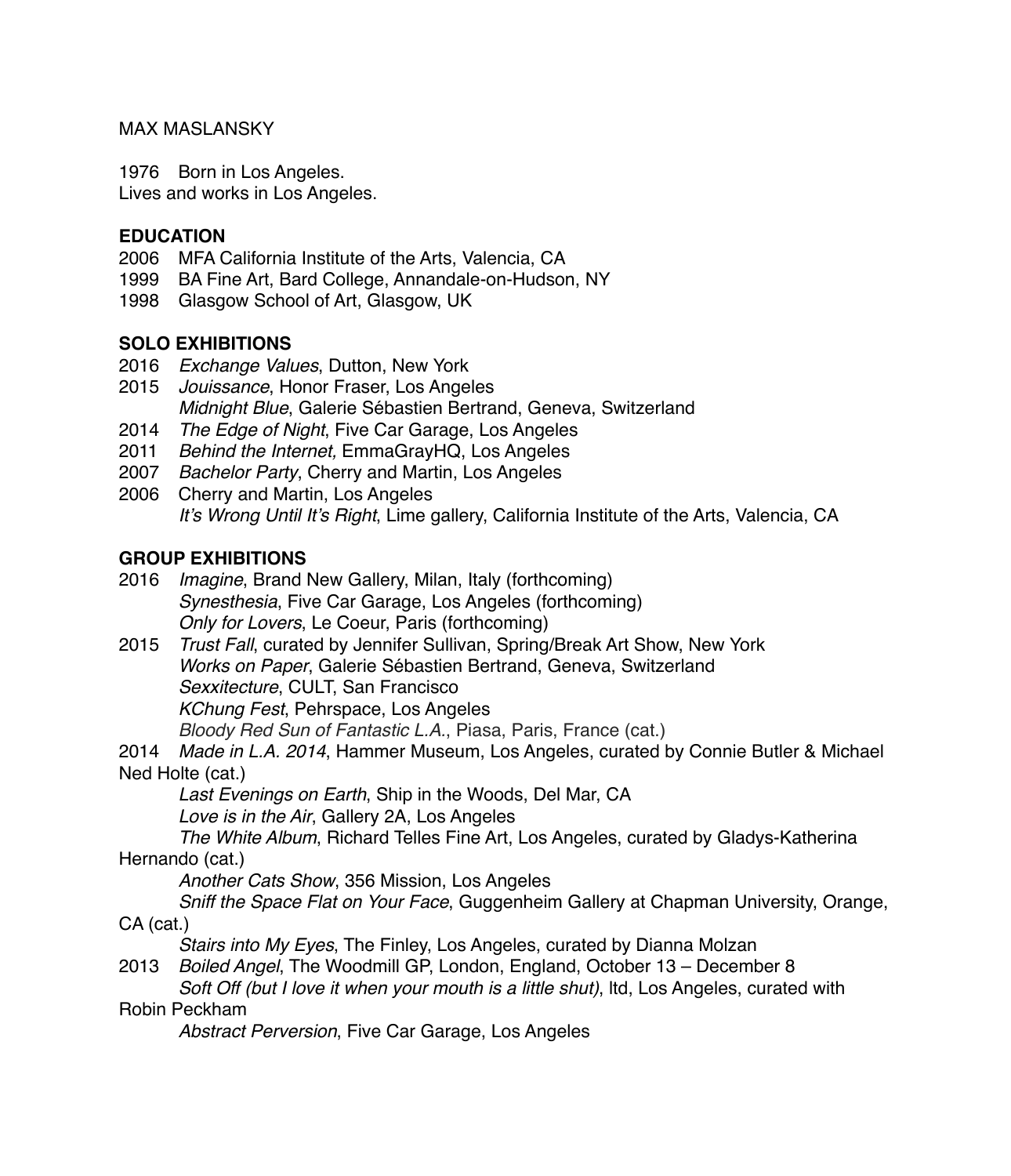#### MAX MASLANSKY

1976 Born in Los Angeles.

Lives and works in Los Angeles.

#### **EDUCATION**

- 2006 MFA California Institute of the Arts, Valencia, CA
- 1999 BA Fine Art, Bard College, Annandale-on-Hudson, NY
- 1998 Glasgow School of Art, Glasgow, UK

#### **SOLO EXHIBITIONS**

- 2016 *Exchange Values*, Dutton, New York
- 2015 *Jouissance*, Honor Fraser, Los Angeles *Midnight Blue*, Galerie Sébastien Bertrand, Geneva, Switzerland
- 2014 *The Edge of Night*, Five Car Garage, Los Angeles
- 2011 *Behind the Internet,* EmmaGrayHQ, Los Angeles
- 2007 *Bachelor Party*, Cherry and Martin, Los Angeles
- 2006 Cherry and Martin, Los Angeles *It's Wrong Until It's Right*, Lime gallery, California Institute of the Arts, Valencia, CA

### **GROUP EXHIBITIONS**

- 2016 *Imagine*, Brand New Gallery, Milan, Italy (forthcoming) *Synesthesia*, Five Car Garage, Los Angeles (forthcoming) *Only for Lovers*, Le Coeur, Paris (forthcoming)
- 2015 *Trust Fall*, curated by Jennifer Sullivan, Spring/Break Art Show, New York *Works on Paper*, Galerie Sébastien Bertrand, Geneva, Switzerland *Sexxitecture*, CULT, San Francisco *KChung Fest*, Pehrspace, Los Angeles *Bloody Red Sun of Fantastic L.A.*, Piasa, Paris, France (cat.)

2014 *Made in L.A. 2014*, Hammer Museum, Los Angeles, curated by Connie Butler & Michael Ned Holte (cat.)

*Last Evenings on Earth*, Ship in the Woods, Del Mar, CA

*Love is in the Air*, Gallery 2A, Los Angeles

*The White Album*, Richard Telles Fine Art, Los Angeles, curated by Gladys-Katherina Hernando (cat.)

*Another Cats Show*, 356 Mission, Los Angeles

*Sniff the Space Flat on Your Face*, Guggenheim Gallery at Chapman University, Orange, CA (cat.)

*Stairs into My Eyes*, The Finley, Los Angeles, curated by Dianna Molzan

2013 *Boiled Angel*, The Woodmill GP, London, England, October 13 – December 8 *Soft Off (but I love it when your mouth is a little shut)*, ltd, Los Angeles, curated with

#### Robin Peckham

*Abstract Perversion*, Five Car Garage, Los Angeles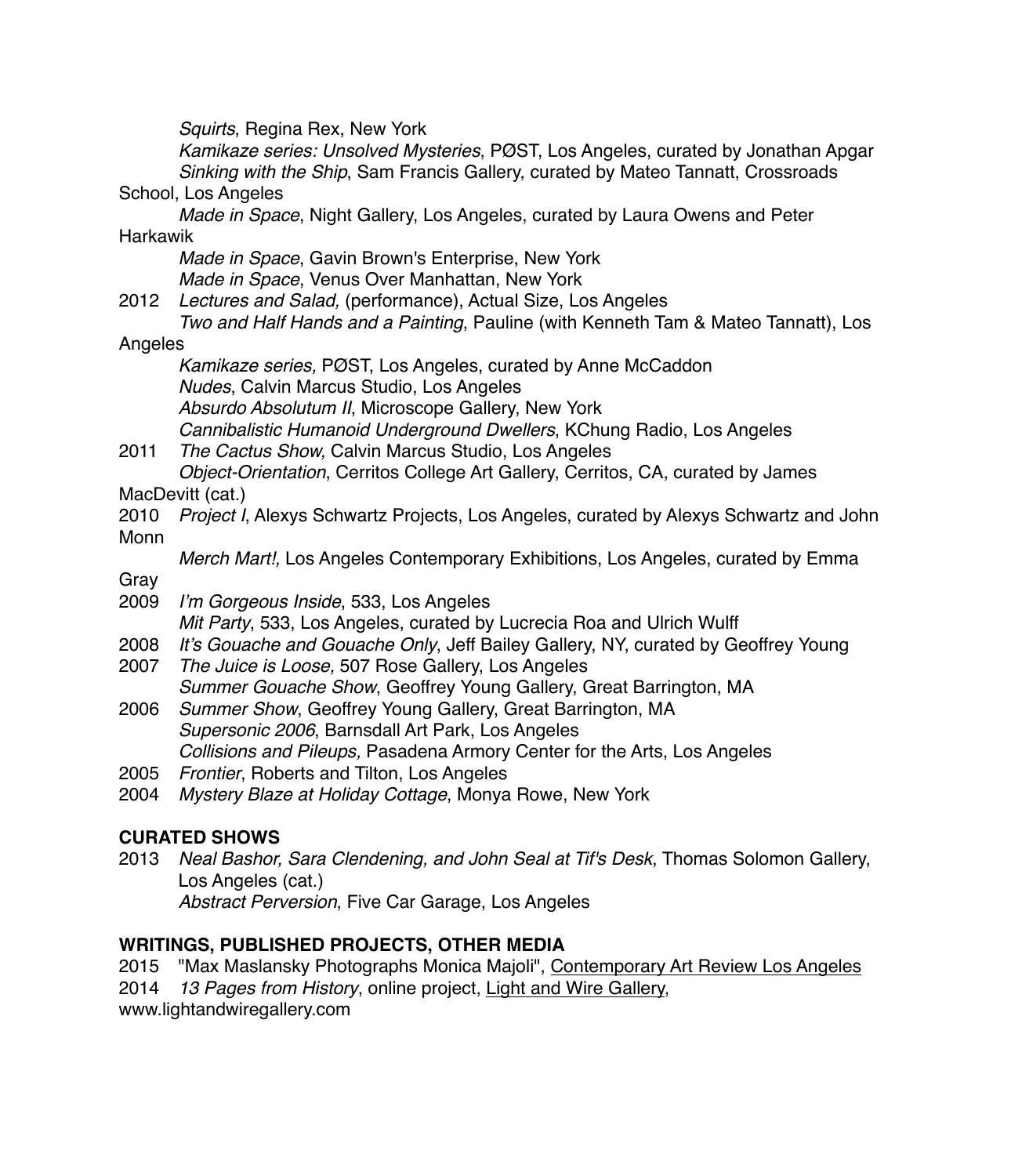*Squirts*, Regina Rex, New York

*Kamikaze series: Unsolved Mysteries*, PØST, Los Angeles, curated by Jonathan Apgar *Sinking with the Ship*, Sam Francis Gallery, curated by Mateo Tannatt, Crossroads School, Los Angeles

*Made in Space*, Night Gallery, Los Angeles, curated by Laura Owens and Peter **Harkawik** 

*Made in Space*, Gavin Brown's Enterprise, New York *Made in Space*, Venus Over Manhattan, New York

2012 *Lectures and Salad,* (performance), Actual Size, Los Angeles *Two and Half Hands and a Painting*, Pauline (with Kenneth Tam & Mateo Tannatt), Los

Angeles

*Kamikaze series,* PØST, Los Angeles, curated by Anne McCaddon *Nudes*, Calvin Marcus Studio, Los Angeles *Absurdo Absolutum II*, Microscope Gallery, New York *Cannibalistic Humanoid Underground Dwellers*, KChung Radio, Los Angeles

2011 *The Cactus Show,* Calvin Marcus Studio, Los Angeles *Object-Orientation*, Cerritos College Art Gallery, Cerritos, CA, curated by James

MacDevitt (cat.)

2010 *Project I*, Alexys Schwartz Projects, Los Angeles, curated by Alexys Schwartz and John Monn

*Merch Mart!,* Los Angeles Contemporary Exhibitions, Los Angeles, curated by Emma

Gray

- 2009 *I'm Gorgeous Inside*, 533, Los Angeles *Mit Party*, 533, Los Angeles, curated by Lucrecia Roa and Ulrich Wulff
- 2008 *It's Gouache and Gouache Only*, Jeff Bailey Gallery, NY, curated by Geoffrey Young
- 2007 *The Juice is Loose,* 507 Rose Gallery, Los Angeles *Summer Gouache Show*, Geoffrey Young Gallery, Great Barrington, MA
- 2006 *Summer Show*, Geoffrey Young Gallery, Great Barrington, MA *Supersonic 2006*, Barnsdall Art Park, Los Angeles *Collisions and Pileups,* Pasadena Armory Center for the Arts, Los Angeles
- 2005 *Frontier*, Roberts and Tilton, Los Angeles
- 2004 *Mystery Blaze at Holiday Cottage*, Monya Rowe, New York

## **CURATED SHOWS**

2013 *Neal Bashor, Sara Clendening, and John Seal at Tif's Desk*, Thomas Solomon Gallery, Los Angeles (cat.) *Abstract Perversion*, Five Car Garage, Los Angeles

# **WRITINGS, PUBLISHED PROJECTS, OTHER MEDIA**

2015 "Max Maslansky Photographs Monica Majoli", Contemporary Art Review Los Angeles 2014 *13 Pages from History*, online project, Light and Wire Gallery,

www.lightandwiregallery.com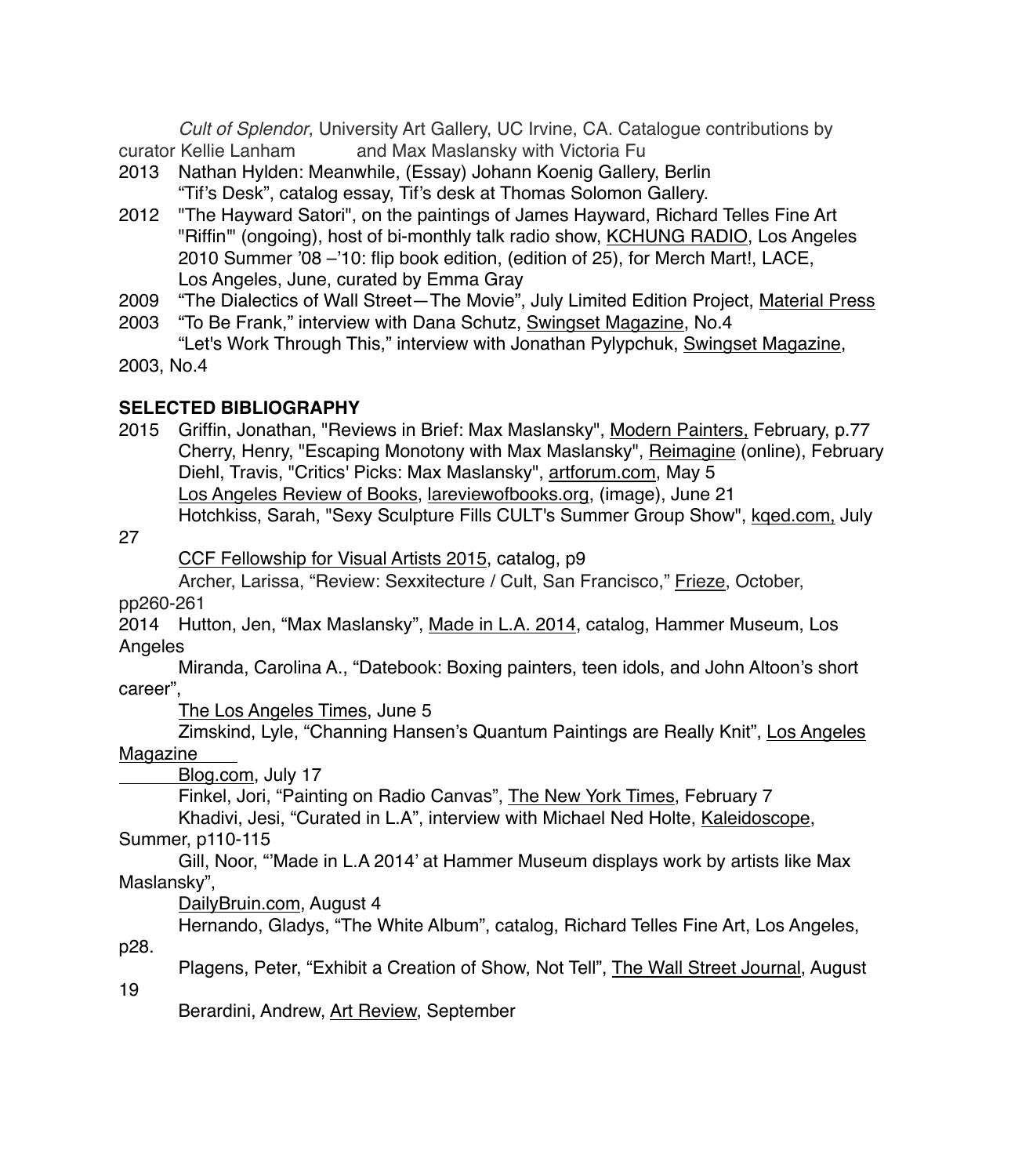*Cult of Splendor*, University Art Gallery, UC Irvine, CA. Catalogue contributions by curator Kellie Lanham and Max Maslansky with Victoria Fu

- 2013 Nathan Hylden: Meanwhile, (Essay) Johann Koenig Gallery, Berlin "Tif's Desk", catalog essay, Tif's desk at Thomas Solomon Gallery.
- 2012 "The Hayward Satori", on the paintings of James Hayward, Richard Telles Fine Art "Riffin'" (ongoing), host of bi-monthly talk radio show, KCHUNG RADIO, Los Angeles 2010 Summer '08 –'10: flip book edition, (edition of 25), for Merch Mart!, LACE, Los Angeles, June, curated by Emma Gray
- 2009 "The Dialectics of Wall Street—The Movie", July Limited Edition Project, Material Press
- 2003 "To Be Frank," interview with Dana Schutz, Swingset Magazine, No.4 "Let's Work Through This," interview with Jonathan Pylypchuk, Swingset Magazine,
- 2003, No.4

### **SELECTED BIBLIOGRAPHY**

2015 Griffin, Jonathan, "Reviews in Brief: Max Maslansky", Modern Painters, February, p.77 Cherry, Henry, "Escaping Monotony with Max Maslansky", Reimagine (online), February Diehl, Travis, "Critics' Picks: Max Maslansky", artforum.com, May 5 Los Angeles Review of Books, lareviewofbooks.org, (image), June 21

Hotchkiss, Sarah, "Sexy Sculpture Fills CULT's Summer Group Show", kqed.com, July

27

CCF Fellowship for Visual Artists 2015, catalog, p9

Archer, Larissa, "Review: Sexxitecture / Cult, San Francisco," Frieze, October,

pp260-261

2014 Hutton, Jen, "Max Maslansky", Made in L.A. 2014, catalog, Hammer Museum, Los Angeles

Miranda, Carolina A., "Datebook: Boxing painters, teen idols, and John Altoon's short career",

The Los Angeles Times, June 5

Zimskind, Lyle, "Channing Hansen's Quantum Paintings are Really Knit", Los Angeles Magazine

Blog.com, July 17

Finkel, Jori, "Painting on Radio Canvas", The New York Times, February 7

Khadivi, Jesi, "Curated in L.A", interview with Michael Ned Holte, Kaleidoscope, Summer, p110-115

Gill, Noor, "'Made in L.A 2014' at Hammer Museum displays work by artists like Max Maslansky",

DailyBruin.com, August 4

Hernando, Gladys, "The White Album", catalog, Richard Telles Fine Art, Los Angeles,

p28.

Plagens, Peter, "Exhibit a Creation of Show, Not Tell", The Wall Street Journal, August

19

Berardini, Andrew, Art Review, September